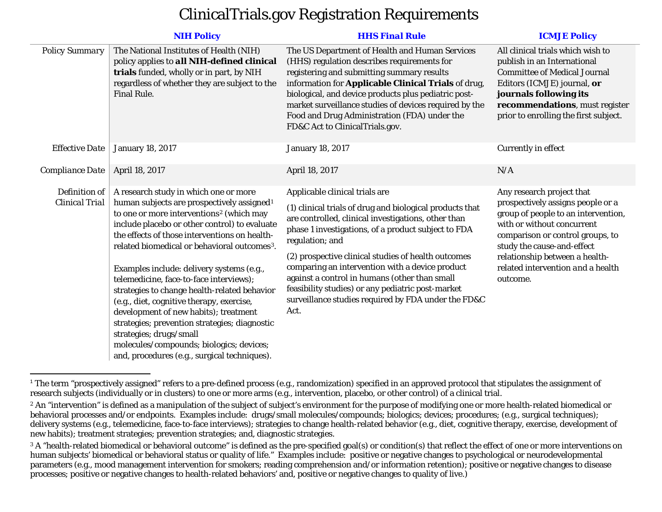## <span id="page-0-2"></span><span id="page-0-1"></span><span id="page-0-0"></span>ClinicalTrials.gov Registration Requirements

|                                                                                           | <b>NIH Policy</b>                                                                                                                                                                                                                                                                                                                                                                                                                                                                                                                                                                                                                                                                                                           | <b>HHS Final Rule</b>                                                                                                                                                                                                                                                                                                                                                                                                                                                                                      | <b>ICMJE Policy</b>                                                                                                                                                                                                                                                                      |
|-------------------------------------------------------------------------------------------|-----------------------------------------------------------------------------------------------------------------------------------------------------------------------------------------------------------------------------------------------------------------------------------------------------------------------------------------------------------------------------------------------------------------------------------------------------------------------------------------------------------------------------------------------------------------------------------------------------------------------------------------------------------------------------------------------------------------------------|------------------------------------------------------------------------------------------------------------------------------------------------------------------------------------------------------------------------------------------------------------------------------------------------------------------------------------------------------------------------------------------------------------------------------------------------------------------------------------------------------------|------------------------------------------------------------------------------------------------------------------------------------------------------------------------------------------------------------------------------------------------------------------------------------------|
| <b>Policy Summary</b>                                                                     | The National Institutes of Health (NIH)<br>policy applies to all NIH-defined clinical<br>trials funded, wholly or in part, by NIH<br>regardless of whether they are subject to the<br><b>Final Rule.</b>                                                                                                                                                                                                                                                                                                                                                                                                                                                                                                                    | The US Department of Health and Human Services<br>(HHS) regulation describes requirements for<br>registering and submitting summary results<br>information for Applicable Clinical Trials of drug,<br>biological, and device products plus pediatric post-<br>market surveillance studies of devices required by the<br>Food and Drug Administration (FDA) under the<br>FD&C Act to ClinicalTrials.gov.                                                                                                    | All clinical trials which wish to<br>publish in an International<br><b>Committee of Medical Journal</b><br>Editors (ICMJE) journal, or<br>journals following its<br>recommendations, must register<br>prior to enrolling the first subject.                                              |
| <b>Effective Date</b><br><b>Compliance Date</b><br>Definition of<br><b>Clinical Trial</b> | <b>January 18, 2017</b>                                                                                                                                                                                                                                                                                                                                                                                                                                                                                                                                                                                                                                                                                                     | <b>January 18, 2017</b>                                                                                                                                                                                                                                                                                                                                                                                                                                                                                    | Currently in effect                                                                                                                                                                                                                                                                      |
|                                                                                           | April 18, 2017                                                                                                                                                                                                                                                                                                                                                                                                                                                                                                                                                                                                                                                                                                              | April 18, 2017                                                                                                                                                                                                                                                                                                                                                                                                                                                                                             | N/A                                                                                                                                                                                                                                                                                      |
|                                                                                           | A research study in which one or more<br>human subjects are prospectively assigned <sup>1</sup><br>to one or more interventions <sup>2</sup> (which may<br>include placebo or other control) to evaluate<br>the effects of those interventions on health-<br>related biomedical or behavioral outcomes <sup>3</sup> .<br>Examples include: delivery systems (e.g.,<br>telemedicine, face-to-face interviews);<br>strategies to change health-related behavior<br>(e.g., diet, cognitive therapy, exercise,<br>development of new habits); treatment<br>strategies; prevention strategies; diagnostic<br>strategies; drugs/small<br>molecules/compounds; biologics; devices;<br>and, procedures (e.g., surgical techniques). | Applicable clinical trials are<br>(1) clinical trials of drug and biological products that<br>are controlled, clinical investigations, other than<br>phase 1 investigations, of a product subject to FDA<br>regulation; and<br>(2) prospective clinical studies of health outcomes<br>comparing an intervention with a device product<br>against a control in humans (other than small<br>feasibility studies) or any pediatric post-market<br>surveillance studies required by FDA under the FD&C<br>Act. | Any research project that<br>prospectively assigns people or a<br>group of people to an intervention,<br>with or without concurrent<br>comparison or control groups, to<br>study the cause-and-effect<br>relationship between a health-<br>related intervention and a health<br>outcome. |

<sup>&</sup>lt;sup>1</sup> The term "prospectively assigned" refers to a pre-defined process (e.g., randomization) specified in an approved protocol that stipulates the assignment of research subjects (individually or in clusters) to one or more arms (e.g., intervention, placebo, or other control) of a clinical trial.

<sup>&</sup>lt;sup>2</sup> An "intervention" is defined as a manipulation of the subject of subject's environment for the purpose of modifying one or more health-related biomedical or behavioral processes and/or endpoints. Examples include: drugs/small molecules/compounds; biologics; devices; procedures; (e.g., surgical techniques); delivery systems (e.g., telemedicine, face-to-face interviews); strategies to change health-related behavior (e.g., diet, cognitive therapy, exercise, development of new habits); treatment strategies; prevention strategies; and, diagnostic strategies.

<sup>&</sup>lt;sup>3</sup> A "health-related biomedical or behavioral outcome" is defined as the pre-specified goal(s) or condition(s) that reflect the effect of one or more interventions on human subjects' biomedical or behavioral status or quality of life." Examples include: positive or negative changes to psychological or neurodevelopmental parameters (e.g., mood management intervention for smokers; reading comprehension and/or information retention); positive or negative changes to disease processes; positive or negative changes to health-related behaviors' and, positive or negative changes to quality of live.)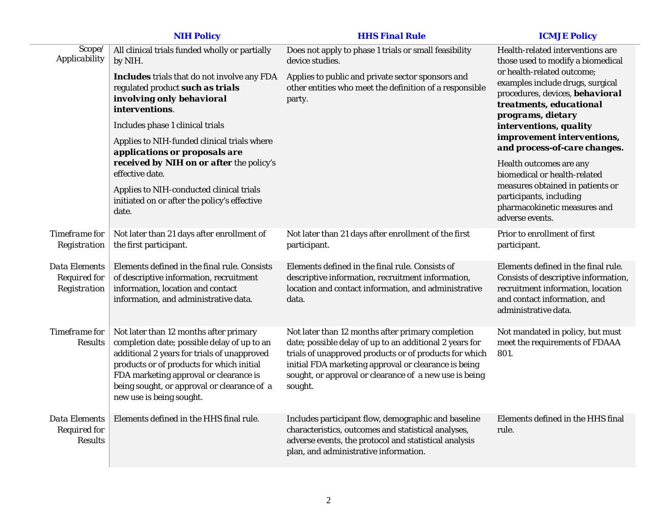|                                                               | <b>NIH Policy</b>                                                                                                                                                                                                                                                                                      | <b>HHS Final Rule</b>                                                                                                                                                                                                                                                                               | <b>ICMJE Policy</b>                                                                                                                                                                                                                                                                                                |
|---------------------------------------------------------------|--------------------------------------------------------------------------------------------------------------------------------------------------------------------------------------------------------------------------------------------------------------------------------------------------------|-----------------------------------------------------------------------------------------------------------------------------------------------------------------------------------------------------------------------------------------------------------------------------------------------------|--------------------------------------------------------------------------------------------------------------------------------------------------------------------------------------------------------------------------------------------------------------------------------------------------------------------|
| Scope/<br>Applicability                                       | All clinical trials funded wholly or partially<br>by NIH.                                                                                                                                                                                                                                              | Does not apply to phase 1 trials or small feasibility<br>device studies.                                                                                                                                                                                                                            | Health-related interventions are<br>those used to modify a biomedical<br>or health-related outcome;<br>examples include drugs, surgical<br>procedures, devices, behavioral<br>treatments, educational<br>programs, dietary<br>interventions, quality<br>improvement interventions,<br>and process-of-care changes. |
|                                                               | <b>Includes</b> trials that do not involve any FDA<br>regulated product such as trials<br>involving only behavioral<br>interventions.                                                                                                                                                                  | Applies to public and private sector sponsors and<br>other entities who meet the definition of a responsible<br>party.                                                                                                                                                                              |                                                                                                                                                                                                                                                                                                                    |
|                                                               | Includes phase 1 clinical trials                                                                                                                                                                                                                                                                       |                                                                                                                                                                                                                                                                                                     |                                                                                                                                                                                                                                                                                                                    |
|                                                               | Applies to NIH-funded clinical trials where<br>applications or proposals are                                                                                                                                                                                                                           |                                                                                                                                                                                                                                                                                                     |                                                                                                                                                                                                                                                                                                                    |
|                                                               | received by NIH on or after the policy's<br>effective date.                                                                                                                                                                                                                                            |                                                                                                                                                                                                                                                                                                     | Health outcomes are any<br>biomedical or health-related<br>measures obtained in patients or<br>participants, including<br>pharmacokinetic measures and<br>adverse events.                                                                                                                                          |
|                                                               | Applies to NIH-conducted clinical trials<br>initiated on or after the policy's effective<br>date.                                                                                                                                                                                                      |                                                                                                                                                                                                                                                                                                     |                                                                                                                                                                                                                                                                                                                    |
| <b>Timeframe</b> for<br>Registration                          | Not later than 21 days after enrollment of<br>the first participant.                                                                                                                                                                                                                                   | Not later than 21 days after enrollment of the first<br>participant.                                                                                                                                                                                                                                | Prior to enrollment of first<br>participant.                                                                                                                                                                                                                                                                       |
| <b>Data Elements</b><br><b>Required for</b><br>Registration   | Elements defined in the final rule. Consists<br>of descriptive information, recruitment<br>information, location and contact<br>information, and administrative data.                                                                                                                                  | Elements defined in the final rule. Consists of<br>descriptive information, recruitment information,<br>location and contact information, and administrative<br>data.                                                                                                                               | Elements defined in the final rule.<br>Consists of descriptive information,<br>recruitment information, location<br>and contact information, and<br>administrative data.                                                                                                                                           |
| Timeframe for<br><b>Results</b>                               | Not later than 12 months after primary<br>completion date; possible delay of up to an<br>additional 2 years for trials of unapproved<br>products or of products for which initial<br>FDA marketing approval or clearance is<br>being sought, or approval or clearance of a<br>new use is being sought. | Not later than 12 months after primary completion<br>date; possible delay of up to an additional 2 years for<br>trials of unapproved products or of products for which<br>initial FDA marketing approval or clearance is being<br>sought, or approval or clearance of a new use is being<br>sought. | Not mandated in policy, but must<br>meet the requirements of FDAAA<br>801.                                                                                                                                                                                                                                         |
| <b>Data Elements</b><br><b>Required for</b><br><b>Results</b> | Elements defined in the HHS final rule.                                                                                                                                                                                                                                                                | Includes participant flow, demographic and baseline<br>characteristics, outcomes and statistical analyses,<br>adverse events, the protocol and statistical analysis<br>plan, and administrative information.                                                                                        | Elements defined in the HHS final<br>rule.                                                                                                                                                                                                                                                                         |